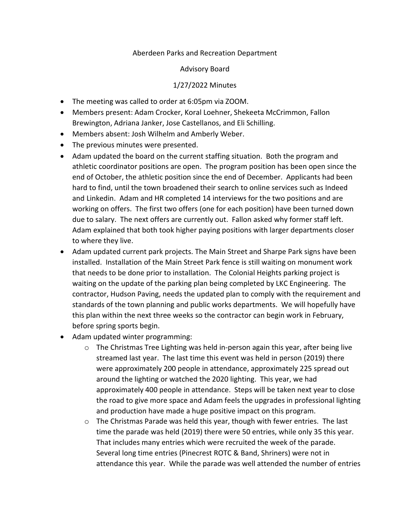## Aberdeen Parks and Recreation Department

## Advisory Board

## 1/27/2022 Minutes

- The meeting was called to order at 6:05pm via ZOOM.
- Members present: Adam Crocker, Koral Loehner, Shekeeta McCrimmon, Fallon Brewington, Adriana Janker, Jose Castellanos, and Eli Schilling.
- Members absent: Josh Wilhelm and Amberly Weber.
- The previous minutes were presented.
- Adam updated the board on the current staffing situation. Both the program and athletic coordinator positions are open. The program position has been open since the end of October, the athletic position since the end of December. Applicants had been hard to find, until the town broadened their search to online services such as Indeed and Linkedin. Adam and HR completed 14 interviews for the two positions and are working on offers. The first two offers (one for each position) have been turned down due to salary. The next offers are currently out. Fallon asked why former staff left. Adam explained that both took higher paying positions with larger departments closer to where they live.
- Adam updated current park projects. The Main Street and Sharpe Park signs have been installed. Installation of the Main Street Park fence is still waiting on monument work that needs to be done prior to installation. The Colonial Heights parking project is waiting on the update of the parking plan being completed by LKC Engineering. The contractor, Hudson Paving, needs the updated plan to comply with the requirement and standards of the town planning and public works departments. We will hopefully have this plan within the next three weeks so the contractor can begin work in February, before spring sports begin.
- Adam updated winter programming:
	- $\circ$  The Christmas Tree Lighting was held in-person again this year, after being live streamed last year. The last time this event was held in person (2019) there were approximately 200 people in attendance, approximately 225 spread out around the lighting or watched the 2020 lighting. This year, we had approximately 400 people in attendance. Steps will be taken next year to close the road to give more space and Adam feels the upgrades in professional lighting and production have made a huge positive impact on this program.
	- $\circ$  The Christmas Parade was held this year, though with fewer entries. The last time the parade was held (2019) there were 50 entries, while only 35 this year. That includes many entries which were recruited the week of the parade. Several long time entries (Pinecrest ROTC & Band, Shriners) were not in attendance this year. While the parade was well attended the number of entries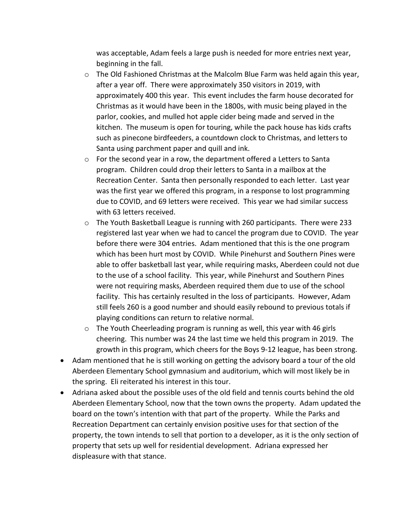was acceptable, Adam feels a large push is needed for more entries next year, beginning in the fall.

- $\circ$  The Old Fashioned Christmas at the Malcolm Blue Farm was held again this year, after a year off. There were approximately 350 visitors in 2019, with approximately 400 this year. This event includes the farm house decorated for Christmas as it would have been in the 1800s, with music being played in the parlor, cookies, and mulled hot apple cider being made and served in the kitchen. The museum is open for touring, while the pack house has kids crafts such as pinecone birdfeeders, a countdown clock to Christmas, and letters to Santa using parchment paper and quill and ink.
- o For the second year in a row, the department offered a Letters to Santa program. Children could drop their letters to Santa in a mailbox at the Recreation Center. Santa then personally responded to each letter. Last year was the first year we offered this program, in a response to lost programming due to COVID, and 69 letters were received. This year we had similar success with 63 letters received.
- $\circ$  The Youth Basketball League is running with 260 participants. There were 233 registered last year when we had to cancel the program due to COVID. The year before there were 304 entries. Adam mentioned that this is the one program which has been hurt most by COVID. While Pinehurst and Southern Pines were able to offer basketball last year, while requiring masks, Aberdeen could not due to the use of a school facility. This year, while Pinehurst and Southern Pines were not requiring masks, Aberdeen required them due to use of the school facility. This has certainly resulted in the loss of participants. However, Adam still feels 260 is a good number and should easily rebound to previous totals if playing conditions can return to relative normal.
- $\circ$  The Youth Cheerleading program is running as well, this year with 46 girls cheering. This number was 24 the last time we held this program in 2019. The growth in this program, which cheers for the Boys 9-12 league, has been strong.
- Adam mentioned that he is still working on getting the advisory board a tour of the old Aberdeen Elementary School gymnasium and auditorium, which will most likely be in the spring. Eli reiterated his interest in this tour.
- Adriana asked about the possible uses of the old field and tennis courts behind the old Aberdeen Elementary School, now that the town owns the property. Adam updated the board on the town's intention with that part of the property. While the Parks and Recreation Department can certainly envision positive uses for that section of the property, the town intends to sell that portion to a developer, as it is the only section of property that sets up well for residential development. Adriana expressed her displeasure with that stance.